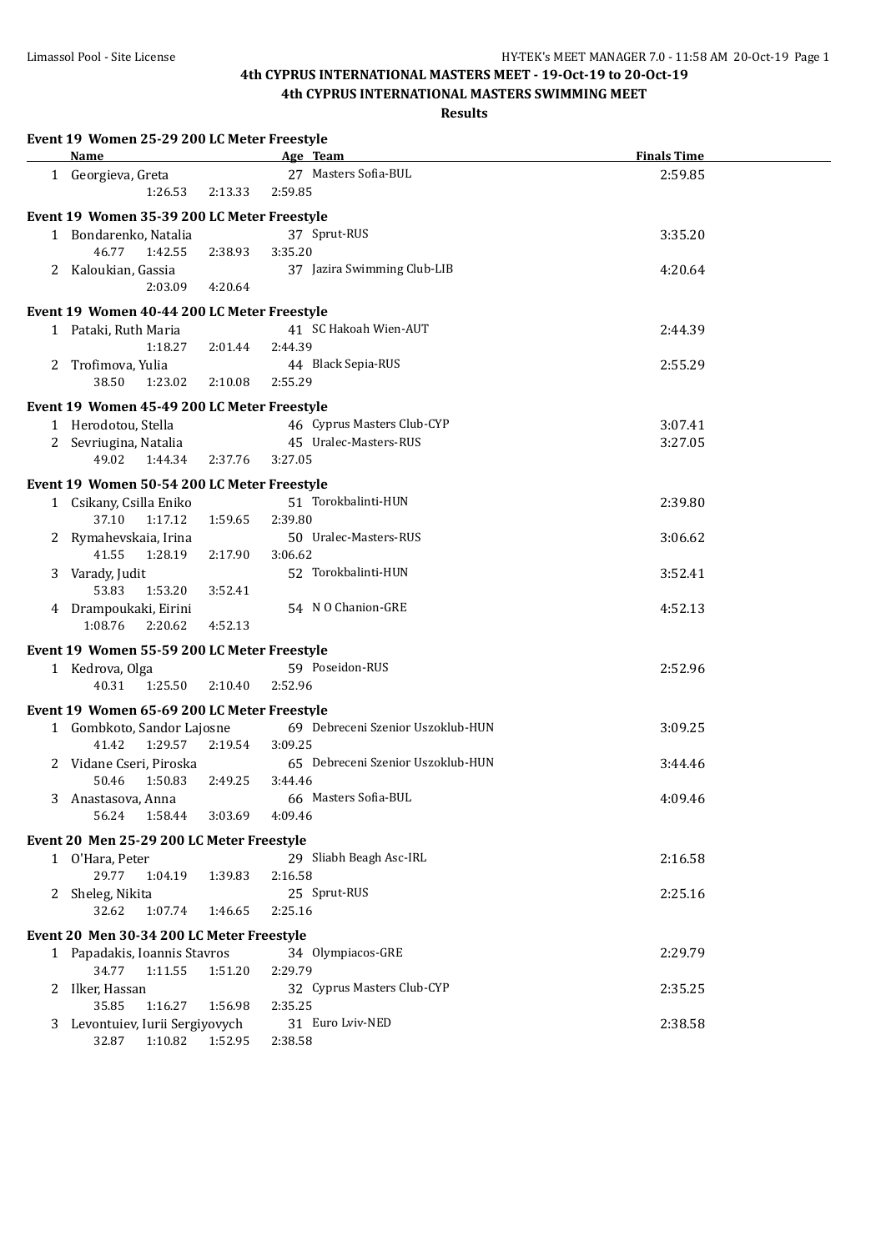|   | Event 19 Women 25-29 200 LC Meter Freestyle    |         |                                       |                    |
|---|------------------------------------------------|---------|---------------------------------------|--------------------|
|   | Name                                           |         | Age Team                              | <b>Finals Time</b> |
|   | 1 Georgieva, Greta                             |         | 27 Masters Sofia-BUL                  | 2:59.85            |
|   | 1:26.53                                        | 2:13.33 | 2:59.85                               |                    |
|   | Event 19 Women 35-39 200 LC Meter Freestyle    |         |                                       |                    |
|   | 1 Bondarenko, Natalia                          |         | 37 Sprut-RUS                          | 3:35.20            |
|   | 46.77<br>1:42.55                               | 2:38.93 | 3:35.20                               |                    |
|   | 2 Kaloukian, Gassia                            |         | 37 Jazira Swimming Club-LIB           | 4:20.64            |
|   | 2:03.09                                        | 4:20.64 |                                       |                    |
|   | Event 19 Women 40-44 200 LC Meter Freestyle    |         |                                       |                    |
|   | 1 Pataki, Ruth Maria                           |         | 41 SC Hakoah Wien-AUT                 | 2:44.39            |
|   | 1:18.27                                        | 2:01.44 | 2:44.39                               |                    |
| 2 | Trofimova, Yulia                               |         | 44 Black Sepia-RUS                    | 2:55.29            |
|   | 38.50<br>1:23.02                               | 2:10.08 | 2:55.29                               |                    |
|   | Event 19 Women 45-49 200 LC Meter Freestyle    |         |                                       |                    |
|   | 1 Herodotou, Stella                            |         | 46 Cyprus Masters Club-CYP            | 3:07.41            |
|   | 2 Sevriugina, Natalia                          |         | 45 Uralec-Masters-RUS                 | 3:27.05            |
|   | 49.02<br>1:44.34                               | 2:37.76 | 3:27.05                               |                    |
|   | Event 19 Women 50-54 200 LC Meter Freestyle    |         |                                       |                    |
|   | 1 Csikany, Csilla Eniko                        |         | 51 Torokbalinti-HUN                   | 2:39.80            |
|   | 37.10<br>1:17.12                               | 1:59.65 | 2:39.80                               |                    |
|   | 2 Rymahevskaia, Irina                          |         | 50 Uralec-Masters-RUS                 | 3:06.62            |
|   | 41.55<br>1:28.19                               | 2:17.90 | 3:06.62                               |                    |
|   | 3 Varady, Judit                                |         | 52 Torokbalinti-HUN                   | 3:52.41            |
|   | 53.83<br>1:53.20                               | 3:52.41 |                                       |                    |
|   | 4 Drampoukaki, Eirini                          |         | 54 N O Chanion-GRE                    | 4:52.13            |
|   | 1:08.76<br>2:20.62                             | 4:52.13 |                                       |                    |
|   | Event 19 Women 55-59 200 LC Meter Freestyle    |         |                                       |                    |
|   | 1 Kedrova, Olga                                |         | 59 Poseidon-RUS                       | 2:52.96            |
|   | 40.31<br>1:25.50                               | 2:10.40 | 2:52.96                               |                    |
|   |                                                |         |                                       |                    |
|   | Event 19 Women 65-69 200 LC Meter Freestyle    |         | 69 Debreceni Szenior Uszoklub-HUN     |                    |
|   | 1 Gombkoto, Sandor Lajosne<br>41.42<br>1:29.57 | 2:19.54 | 3:09.25                               | 3:09.25            |
|   | 2 Vidane Cseri, Piroska                        |         | 65 Debreceni Szenior Uszoklub-HUN     | 3:44.46            |
|   | 50.46<br>1:50.83                               | 2:49.25 | 3:44.46                               |                    |
|   | 3 Anastasova, Anna                             |         | 66 Masters Sofia-BUL                  | 4:09.46            |
|   | 56.24<br>1:58.44                               | 3:03.69 | 4:09.46                               |                    |
|   |                                                |         |                                       |                    |
|   | Event 20 Men 25-29 200 LC Meter Freestyle      |         |                                       |                    |
|   | 1 O'Hara, Peter<br>29.77<br>1:04.19            | 1:39.83 | 29 Sliabh Beagh Asc-IRL<br>2:16.58    | 2:16.58            |
|   | Sheleg, Nikita                                 |         | 25 Sprut-RUS                          | 2:25.16            |
|   | 32.62<br>1:07.74                               | 1:46.65 | 2:25.16                               |                    |
|   |                                                |         |                                       |                    |
|   | Event 20 Men 30-34 200 LC Meter Freestyle      |         |                                       |                    |
|   | 1 Papadakis, Ioannis Stavros                   |         | 34 Olympiacos-GRE                     | 2:29.79            |
|   | 34.77<br>1:11.55                               | 1:51.20 | 2:29.79                               |                    |
|   | 2 Ilker, Hassan<br>35.85<br>1:16.27            | 1:56.98 | 32 Cyprus Masters Club-CYP<br>2:35.25 | 2:35.25            |
|   | 3 Levontuiev, Iurii Sergiyovych                |         | 31 Euro Lviv-NED                      | 2:38.58            |
|   | 32.87   1:10.82   1:52.95                      |         | 2:38.58                               |                    |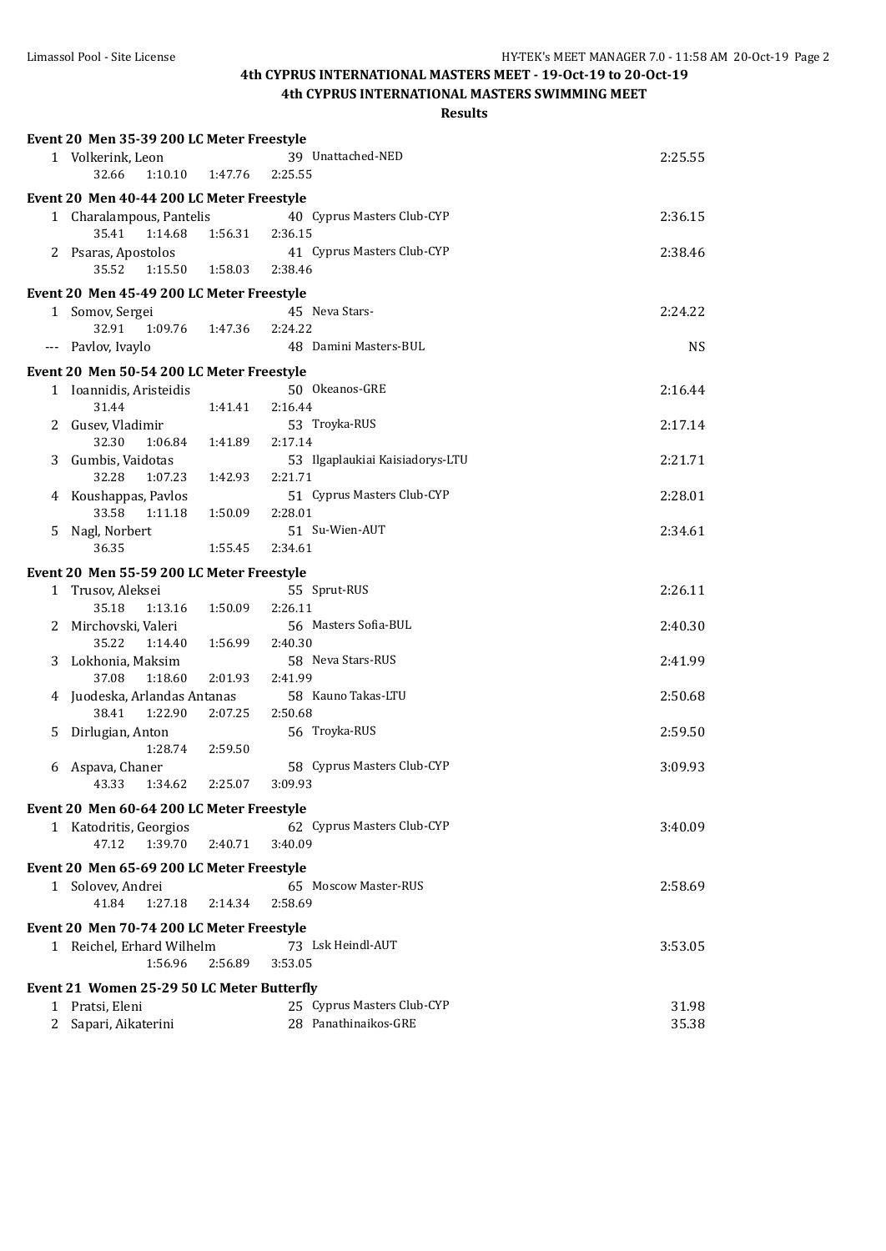|    | Event 20 Men 35-39 200 LC Meter Freestyle        |         |                                 |                |
|----|--------------------------------------------------|---------|---------------------------------|----------------|
|    | 1 Volkerink, Leon                                |         | 39 Unattached-NED               | 2:25.55        |
|    | 32.66<br>1:10.10                                 | 1:47.76 | 2:25.55                         |                |
|    | Event 20 Men 40-44 200 LC Meter Freestyle        |         |                                 |                |
|    | 1 Charalampous, Pantelis                         |         | 40 Cyprus Masters Club-CYP      | 2:36.15        |
|    | 35.41<br>1:14.68                                 | 1:56.31 | 2:36.15                         |                |
|    | 2 Psaras, Apostolos                              |         | 41 Cyprus Masters Club-CYP      | 2:38.46        |
|    | 35.52<br>1:15.50                                 | 1:58.03 | 2:38.46                         |                |
|    | Event 20 Men 45-49 200 LC Meter Freestyle        |         |                                 |                |
| 1  | Somov, Sergei                                    |         | 45 Neva Stars-                  | 2:24.22        |
|    | 32.91<br>1:09.76                                 | 1:47.36 | 2:24.22                         |                |
|    | --- Pavlov, Ivaylo                               |         | 48 Damini Masters-BUL           | <b>NS</b>      |
|    |                                                  |         |                                 |                |
|    | Event 20 Men 50-54 200 LC Meter Freestyle        |         | 50 Okeanos-GRE                  |                |
|    | 1 Ioannidis, Aristeidis<br>31.44                 | 1:41.41 | 2:16.44                         | 2:16.44        |
|    |                                                  |         | 53 Troyka-RUS                   | 2:17.14        |
| 2  | Gusev, Vladimir<br>32.30<br>1:06.84              | 1:41.89 | 2:17.14                         |                |
| 3  | Gumbis, Vaidotas                                 |         | 53 Ilgaplaukiai Kaisiadorys-LTU | 2:21.71        |
|    | 32.28<br>1:07.23                                 | 1:42.93 | 2:21.71                         |                |
|    | 4 Koushappas, Pavlos                             |         | 51 Cyprus Masters Club-CYP      | 2:28.01        |
|    | 33.58<br>1:11.18                                 | 1:50.09 | 2:28.01                         |                |
| 5. | Nagl, Norbert                                    |         | 51 Su-Wien-AUT                  | 2:34.61        |
|    | 36.35                                            | 1:55.45 | 2:34.61                         |                |
|    |                                                  |         |                                 |                |
|    | Event 20 Men 55-59 200 LC Meter Freestyle        |         |                                 |                |
|    | 1 Trusov, Aleksei                                |         | 55 Sprut-RUS                    | 2:26.11        |
|    | 35.18<br>1:13.16                                 | 1:50.09 | 2:26.11                         |                |
| 2  | Mirchovski, Valeri                               |         | 56 Masters Sofia-BUL            | 2:40.30        |
|    | 35.22<br>1:14.40                                 | 1:56.99 | 2:40.30                         |                |
| 3  | Lokhonia, Maksim<br>37.08                        |         | 58 Neva Stars-RUS<br>2:41.99    | 2:41.99        |
|    | 1:18.60                                          | 2:01.93 | 58 Kauno Takas-LTU              |                |
|    | 4 Juodeska, Arlandas Antanas<br>38.41<br>1:22.90 | 2:07.25 | 2:50.68                         | 2:50.68        |
| 5  | Dirlugian, Anton                                 |         | 56 Troyka-RUS                   | 2:59.50        |
|    | 1:28.74                                          | 2:59.50 |                                 |                |
| 6  | Aspava, Chaner                                   |         | 58 Cyprus Masters Club-CYP      | 3:09.93        |
|    | 43.33<br>1:34.62                                 | 2:25.07 | 3:09.93                         |                |
|    |                                                  |         |                                 |                |
|    | Event 20 Men 60-64 200 LC Meter Freestyle        |         |                                 |                |
|    | 1 Katodritis, Georgios                           |         | 62 Cyprus Masters Club-CYP      | 3:40.09        |
|    | 47.12<br>1:39.70                                 | 2:40.71 | 3:40.09                         |                |
|    | Event 20 Men 65-69 200 LC Meter Freestyle        |         |                                 |                |
|    | 1 Solovev, Andrei                                |         | 65 Moscow Master-RUS            | 2:58.69        |
|    | 41.84<br>1:27.18                                 | 2:14.34 | 2:58.69                         |                |
|    | Event 20 Men 70-74 200 LC Meter Freestyle        |         |                                 |                |
|    | 1 Reichel, Erhard Wilhelm                        |         | 73 Lsk Heindl-AUT               | 3:53.05        |
|    | 1:56.96                                          | 2:56.89 | 3:53.05                         |                |
|    |                                                  |         |                                 |                |
|    | Event 21 Women 25-29 50 LC Meter Butterfly       |         | 25 Cyprus Masters Club-CYP      |                |
|    | 1 Pratsi, Eleni<br>2 Sapari, Aikaterini          |         | 28 Panathinaikos-GRE            | 31.98<br>35.38 |
|    |                                                  |         |                                 |                |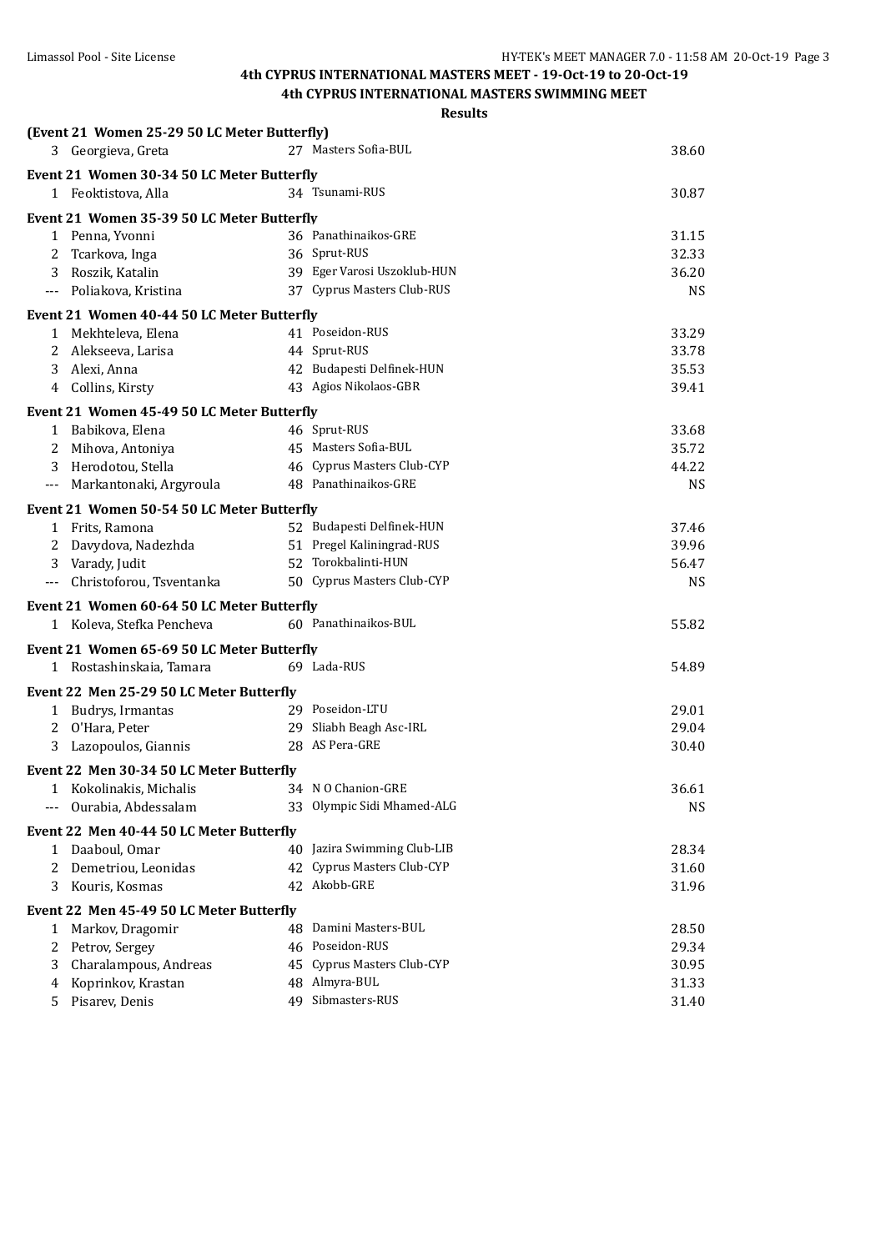|                      | (Event 21 Women 25-29 50 LC Meter Butterfly) |                             |           |
|----------------------|----------------------------------------------|-----------------------------|-----------|
|                      | 3 Georgieva, Greta                           | 27 Masters Sofia-BUL        | 38.60     |
|                      | Event 21 Women 30-34 50 LC Meter Butterfly   |                             |           |
|                      | 1 Feoktistova, Alla                          | 34 Tsunami-RUS              | 30.87     |
|                      | Event 21 Women 35-39 50 LC Meter Butterfly   |                             |           |
|                      | 1 Penna, Yvonni                              | 36 Panathinaikos-GRE        | 31.15     |
| 2                    | Tcarkova, Inga                               | 36 Sprut-RUS                | 32.33     |
| 3                    | Roszik, Katalin                              | 39 Eger Varosi Uszoklub-HUN | 36.20     |
|                      | --- Poliakova, Kristina                      | 37 Cyprus Masters Club-RUS  | <b>NS</b> |
|                      | Event 21 Women 40-44 50 LC Meter Butterfly   |                             |           |
|                      | 1 Mekhteleva, Elena                          | 41 Poseidon-RUS             | 33.29     |
|                      | 2 Alekseeva, Larisa                          | 44 Sprut-RUS                | 33.78     |
| 3                    | Alexi, Anna                                  | 42 Budapesti Delfinek-HUN   | 35.53     |
|                      | 4 Collins, Kirsty                            | 43 Agios Nikolaos-GBR       | 39.41     |
|                      | Event 21 Women 45-49 50 LC Meter Butterfly   |                             |           |
|                      | 1 Babikova, Elena                            | 46 Sprut-RUS                | 33.68     |
|                      | Mihova, Antoniya                             | 45 Masters Sofia-BUL        | 35.72     |
| 3                    | Herodotou, Stella                            | 46 Cyprus Masters Club-CYP  | 44.22     |
| $\scriptstyle\cdots$ | Markantonaki, Argyroula                      | 48 Panathinaikos-GRE        | <b>NS</b> |
|                      | Event 21 Women 50-54 50 LC Meter Butterfly   |                             |           |
|                      | 1 Frits, Ramona                              | 52 Budapesti Delfinek-HUN   | 37.46     |
|                      | 2 Davydova, Nadezhda                         | 51 Pregel Kaliningrad-RUS   | 39.96     |
|                      | 3 Varady, Judit                              | 52 Torokbalinti-HUN         | 56.47     |
|                      | Christoforou, Tsventanka                     | 50 Cyprus Masters Club-CYP  | <b>NS</b> |
|                      | Event 21 Women 60-64 50 LC Meter Butterfly   |                             |           |
|                      | 1 Koleva, Stefka Pencheva                    | 60 Panathinaikos-BUL        | 55.82     |
|                      | Event 21 Women 65-69 50 LC Meter Butterfly   |                             |           |
|                      | 1 Rostashinskaia, Tamara                     | 69 Lada-RUS                 | 54.89     |
|                      | Event 22 Men 25-29 50 LC Meter Butterfly     |                             |           |
|                      | 1 Budrys, Irmantas                           | 29 Poseidon-LTU             | 29.01     |
| 2                    | O'Hara, Peter                                | 29 Sliabh Beagh Asc-IRL     | 29.04     |
| 3                    | Lazopoulos, Giannis                          | 28 AS Pera-GRE              | 30.40     |
|                      | Event 22 Men 30-34 50 LC Meter Butterfly     |                             |           |
| T                    | Kokolinakis, Michalis                        | 34 N O Chanion-GRE          | 36.61     |
|                      | Ourabia, Abdessalam                          | 33 Olympic Sidi Mhamed-ALG  | <b>NS</b> |
|                      | Event 22 Men 40-44 50 LC Meter Butterfly     |                             |           |
|                      | 1 Daaboul, Omar                              | 40 Jazira Swimming Club-LIB | 28.34     |
|                      | Demetriou, Leonidas                          | 42 Cyprus Masters Club-CYP  | 31.60     |
| 3                    | Kouris, Kosmas                               | 42 Akobb-GRE                | 31.96     |
|                      | Event 22 Men 45-49 50 LC Meter Butterfly     |                             |           |
| $\mathbf{1}$         | Markov, Dragomir                             | 48 Damini Masters-BUL       | 28.50     |
| 2                    | Petrov, Sergey                               | 46 Poseidon-RUS             | 29.34     |
| 3                    | Charalampous, Andreas                        | 45 Cyprus Masters Club-CYP  | 30.95     |
| 4                    | Koprinkov, Krastan                           | 48 Almyra-BUL               | 31.33     |
| 5                    | Pisarev, Denis                               | 49 Sibmasters-RUS           | 31.40     |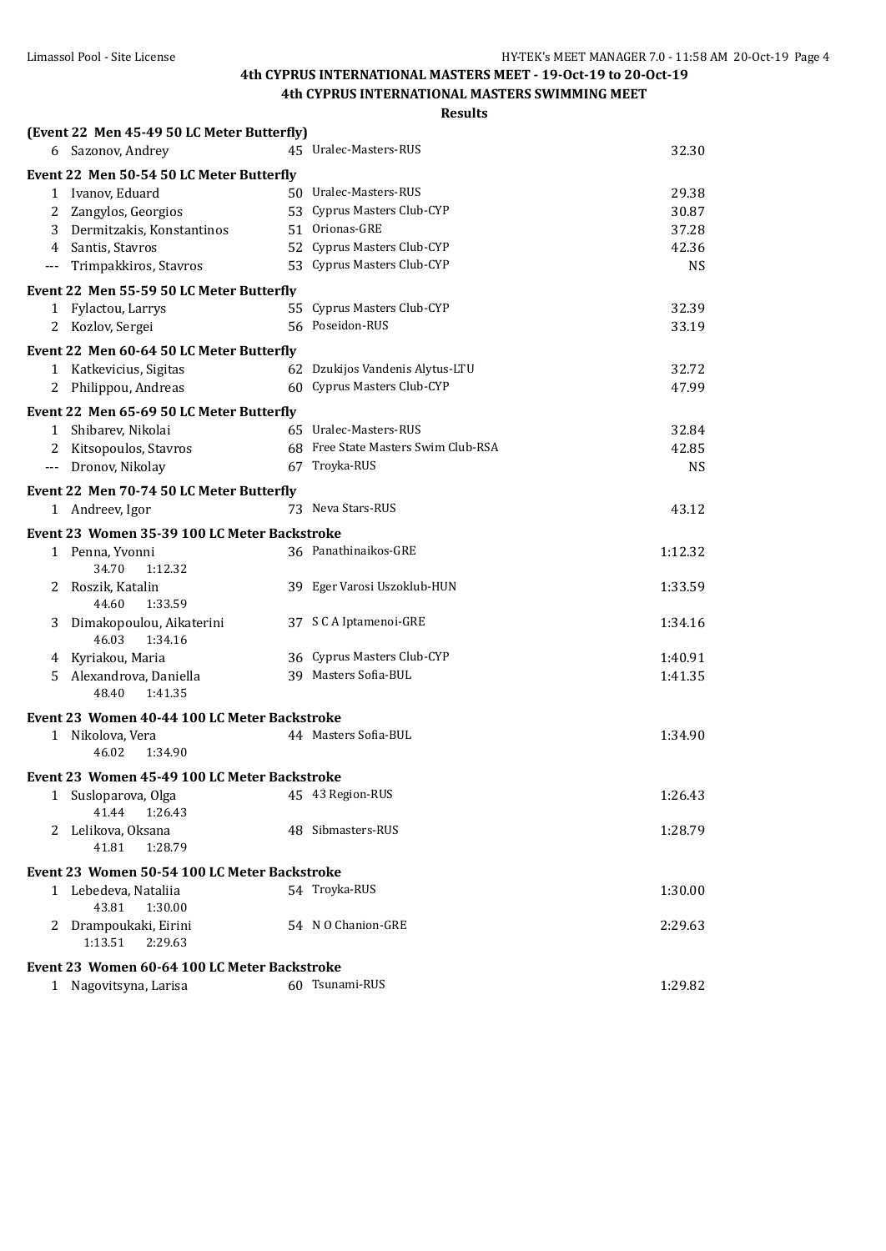|              | (Event 22 Men 45-49 50 LC Meter Butterfly)   |                                     |           |
|--------------|----------------------------------------------|-------------------------------------|-----------|
|              | 6 Sazonov, Andrey                            | 45 Uralec-Masters-RUS               | 32.30     |
|              | Event 22 Men 50-54 50 LC Meter Butterfly     |                                     |           |
|              | 1 Ivanov, Eduard                             | 50 Uralec-Masters-RUS               | 29.38     |
|              | 2 Zangylos, Georgios                         | 53 Cyprus Masters Club-CYP          | 30.87     |
|              | 3 Dermitzakis, Konstantinos                  | 51 Orionas-GRE                      | 37.28     |
|              | 4 Santis, Stavros                            | 52 Cyprus Masters Club-CYP          | 42.36     |
|              | --- Trimpakkiros, Stavros                    | 53 Cyprus Masters Club-CYP          | <b>NS</b> |
|              | Event 22 Men 55-59 50 LC Meter Butterfly     |                                     |           |
|              | 1 Fylactou, Larrys                           | 55 Cyprus Masters Club-CYP          | 32.39     |
|              | 2 Kozlov, Sergei                             | 56 Poseidon-RUS                     | 33.19     |
|              | Event 22 Men 60-64 50 LC Meter Butterfly     |                                     |           |
|              | 1 Katkevicius, Sigitas                       | 62 Dzukijos Vandenis Alytus-LTU     | 32.72     |
| 2            | Philippou, Andreas                           | 60 Cyprus Masters Club-CYP          | 47.99     |
|              | Event 22 Men 65-69 50 LC Meter Butterfly     |                                     |           |
|              | 1 Shibarev, Nikolai                          | 65 Uralec-Masters-RUS               | 32.84     |
|              | 2 Kitsopoulos, Stavros                       | 68 Free State Masters Swim Club-RSA | 42.85     |
|              | --- Dronov, Nikolay                          | 67 Troyka-RUS                       | <b>NS</b> |
|              | Event 22 Men 70-74 50 LC Meter Butterfly     |                                     |           |
|              | 1 Andreev, Igor                              | 73 Neva Stars-RUS                   | 43.12     |
|              | Event 23 Women 35-39 100 LC Meter Backstroke |                                     |           |
|              | 1 Penna, Yvonni                              | 36 Panathinaikos-GRE                | 1:12.32   |
|              | 34.70<br>1:12.32                             |                                     |           |
|              | 2 Roszik, Katalin                            | 39 Eger Varosi Uszoklub-HUN         | 1:33.59   |
| 3            | 1:33.59<br>44.60<br>Dimakopoulou, Aikaterini | 37 S C A Iptamenoi-GRE              | 1:34.16   |
|              | 46.03<br>1:34.16                             |                                     |           |
|              | 4 Kyriakou, Maria                            | 36 Cyprus Masters Club-CYP          | 1:40.91   |
|              | 5 Alexandrova, Daniella                      | 39 Masters Sofia-BUL                | 1:41.35   |
|              | 48.40<br>1:41.35                             |                                     |           |
|              | Event 23 Women 40-44 100 LC Meter Backstroke |                                     |           |
|              | 1 Nikolova, Vera                             | 44 Masters Sofia-BUL                | 1:34.90   |
|              | 46.02<br>1:34.90                             |                                     |           |
|              | Event 23 Women 45-49 100 LC Meter Backstroke |                                     |           |
| $\mathbf{1}$ | Susloparova, Olga                            | 45 43 Region-RUS                    | 1:26.43   |
|              | 41.44<br>1:26.43                             |                                     |           |
| 2            | Lelikova, Oksana                             | 48 Sibmasters-RUS                   | 1:28.79   |
|              | 41.81<br>1:28.79                             |                                     |           |
|              | Event 23 Women 50-54 100 LC Meter Backstroke |                                     |           |
|              | 1 Lebedeva, Nataliia                         | 54 Troyka-RUS                       | 1:30.00   |
|              | 43.81<br>1:30.00                             |                                     |           |
| 2            | Drampoukaki, Eirini                          | 54 N O Chanion-GRE                  | 2:29.63   |
|              | 1:13.51<br>2:29.63                           |                                     |           |
|              | Event 23 Women 60-64 100 LC Meter Backstroke |                                     |           |
| $\mathbf{1}$ | Nagovitsyna, Larisa                          | 60 Tsunami-RUS                      | 1:29.82   |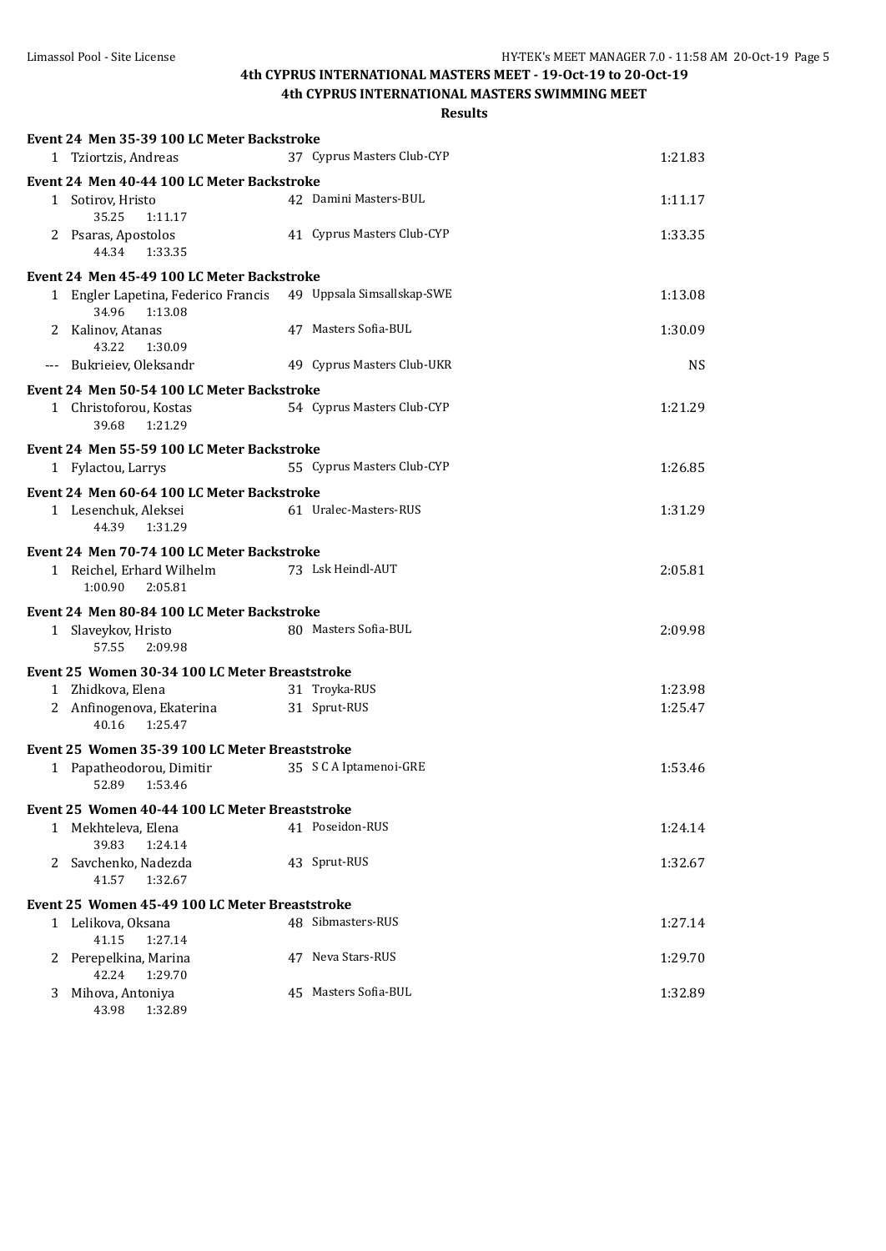# **4th CYPRUS INTERNATIONAL MASTERS MEET - 19-Oct-19 to 20-Oct-19**

**4th CYPRUS INTERNATIONAL MASTERS SWIMMING MEET**

|   | Event 24 Men 35-39 100 LC Meter Backstroke                                      |                            |           |
|---|---------------------------------------------------------------------------------|----------------------------|-----------|
|   | 1 Tziortzis, Andreas                                                            | 37 Cyprus Masters Club-CYP | 1:21.83   |
|   | Event 24 Men 40-44 100 LC Meter Backstroke                                      |                            |           |
|   | 1 Sotirov, Hristo<br>35.25<br>1:11.17                                           | 42 Damini Masters-BUL      | 1:11.17   |
|   | 2 Psaras, Apostolos<br>44.34<br>1:33.35                                         | 41 Cyprus Masters Club-CYP | 1:33.35   |
|   | Event 24 Men 45-49 100 LC Meter Backstroke                                      |                            |           |
|   | 1 Engler Lapetina, Federico Francis 49 Uppsala Simsallskap-SWE<br>34.96 1:13.08 |                            | 1:13.08   |
|   | 2 Kalinov, Atanas<br>43.22<br>1:30.09                                           | 47 Masters Sofia-BUL       | 1:30.09   |
|   | --- Bukrieiev, Oleksandr                                                        | 49 Cyprus Masters Club-UKR | <b>NS</b> |
|   | Event 24 Men 50-54 100 LC Meter Backstroke                                      |                            |           |
|   | 1 Christoforou, Kostas<br>39.68<br>1:21.29                                      | 54 Cyprus Masters Club-CYP | 1:21.29   |
|   | Event 24 Men 55-59 100 LC Meter Backstroke                                      |                            |           |
|   | 1 Fylactou, Larrys                                                              | 55 Cyprus Masters Club-CYP | 1:26.85   |
|   | Event 24 Men 60-64 100 LC Meter Backstroke                                      |                            |           |
|   | 1 Lesenchuk, Aleksei<br>44.39 1:31.29                                           | 61 Uralec-Masters-RUS      | 1:31.29   |
|   | Event 24 Men 70-74 100 LC Meter Backstroke                                      |                            |           |
|   | 1 Reichel, Erhard Wilhelm<br>2:05.81<br>1:00.90                                 | 73 Lsk Heindl-AUT          | 2:05.81   |
|   | Event 24 Men 80-84 100 LC Meter Backstroke                                      |                            |           |
|   | 1 Slaveykov, Hristo<br>57.55<br>2:09.98                                         | 80 Masters Sofia-BUL       | 2:09.98   |
|   | Event 25 Women 30-34 100 LC Meter Breaststroke                                  |                            |           |
|   | 1 Zhidkova, Elena                                                               | 31 Troyka-RUS              | 1:23.98   |
|   | 2 Anfinogenova, Ekaterina<br>40.16<br>1:25.47                                   | 31 Sprut-RUS               | 1:25.47   |
|   | Event 25 Women 35-39 100 LC Meter Breaststroke                                  |                            |           |
|   | 1 Papatheodorou, Dimitir<br>52.89<br>1:53.46                                    | 35 S C A Iptamenoi-GRE     | 1:53.46   |
|   | Event 25 Women 40-44 100 LC Meter Breaststroke                                  |                            |           |
|   | 1 Mekhteleva, Elena<br>39.83<br>1:24.14                                         | 41 Poseidon-RUS            | 1:24.14   |
|   | 2 Savchenko, Nadezda<br>41.57<br>1:32.67                                        | 43 Sprut-RUS               | 1:32.67   |
|   | Event 25 Women 45-49 100 LC Meter Breaststroke                                  |                            |           |
|   | 1 Lelikova, Oksana<br>41.15<br>1:27.14                                          | 48 Sibmasters-RUS          | 1:27.14   |
| 2 | Perepelkina, Marina<br>42.24<br>1:29.70                                         | 47 Neva Stars-RUS          | 1:29.70   |
| 3 | Mihova, Antoniya<br>43.98 1:32.89                                               | 45 Masters Sofia-BUL       | 1:32.89   |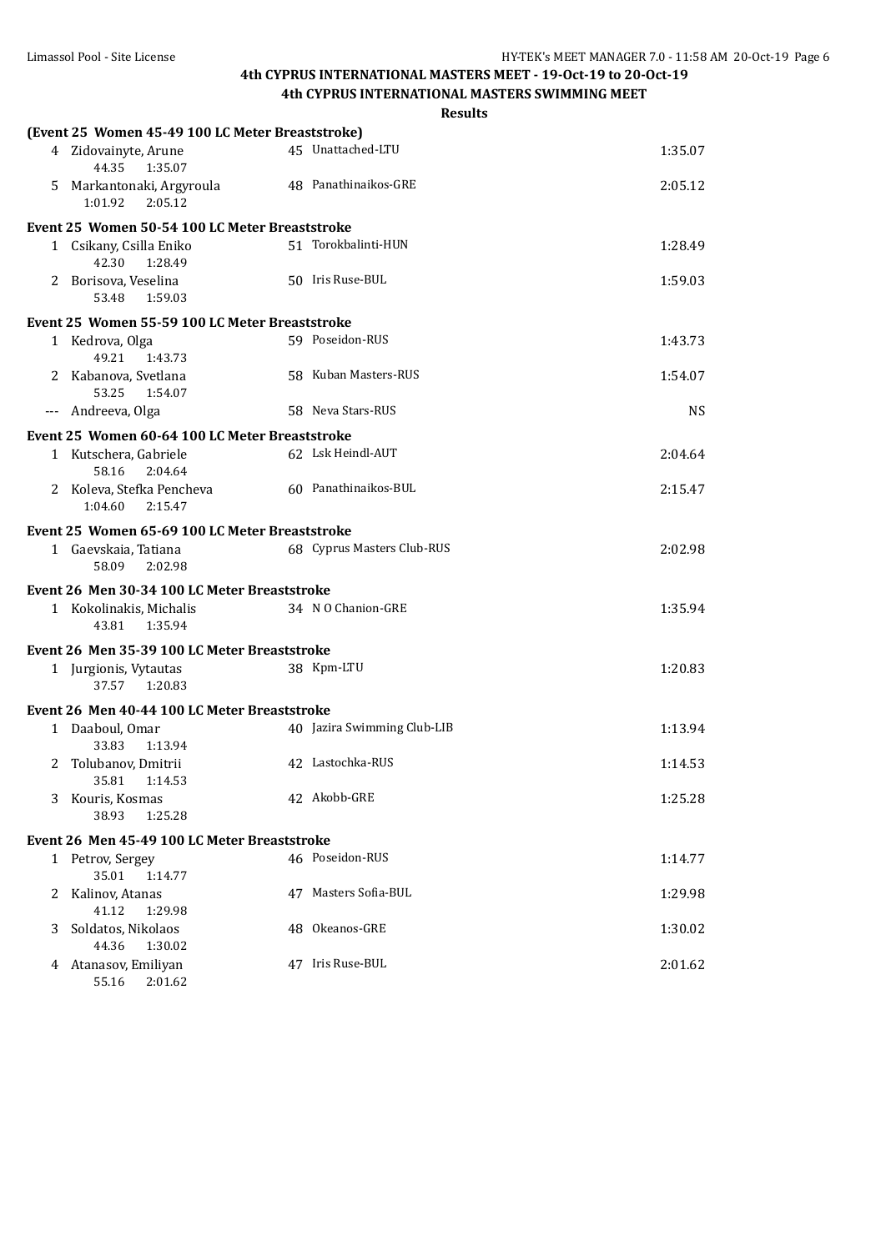|   |                                                  | <b>Results</b>              |         |
|---|--------------------------------------------------|-----------------------------|---------|
|   | (Event 25 Women 45-49 100 LC Meter Breaststroke) |                             |         |
|   | 4 Zidovainyte, Arune<br>1:35.07<br>44.35         | 45 Unattached-LTU           | 1:35.07 |
| 5 | Markantonaki, Argyroula<br>1:01.92<br>2:05.12    | 48 Panathinaikos-GRE        | 2:05.12 |
|   | Event 25 Women 50-54 100 LC Meter Breaststroke   |                             |         |
|   | 1 Csikany, Csilla Eniko<br>42.30<br>1:28.49      | 51 Torokbalinti-HUN         | 1:28.49 |
|   | 2 Borisova, Veselina<br>53.48<br>1:59.03         | 50 Iris Ruse-BUL            | 1:59.03 |
|   | Event 25 Women 55-59 100 LC Meter Breaststroke   |                             |         |
|   | 1 Kedrova, Olga<br>49.21<br>1:43.73              | 59 Poseidon-RUS             | 1:43.73 |
|   | 2 Kabanova, Svetlana<br>53.25<br>1:54.07         | 58 Kuban Masters-RUS        | 1:54.07 |
|   | --- Andreeva, Olga                               | 58 Neva Stars-RUS           | NS.     |
|   | Event 25 Women 60-64 100 LC Meter Breaststroke   |                             |         |
|   | 1 Kutschera, Gabriele<br>58.16<br>2:04.64        | 62 Lsk Heindl-AUT           | 2:04.64 |
|   | 2 Koleva, Stefka Pencheva<br>1:04.60 2:15.47     | 60 Panathinaikos-BUL        | 2:15.47 |
|   | Event 25 Women 65-69 100 LC Meter Breaststroke   |                             |         |
|   | 1 Gaevskaia, Tatiana                             | 68 Cyprus Masters Club-RUS  | 2:02.98 |
|   | 58.09<br>2:02.98                                 |                             |         |
|   | Event 26 Men 30-34 100 LC Meter Breaststroke     |                             |         |
|   | 1 Kokolinakis, Michalis<br>43.81<br>1:35.94      | 34 N O Chanion-GRE          | 1:35.94 |
|   | Event 26 Men 35-39 100 LC Meter Breaststroke     |                             |         |
|   | 1 Jurgionis, Vytautas<br>37.57<br>1:20.83        | 38 Kpm-LTU                  | 1:20.83 |
|   | Event 26 Men 40-44 100 LC Meter Breaststroke     |                             |         |
|   | 1 Daaboul, Omar<br>33.83<br>1:13.94              | 40 Jazira Swimming Club-LIB | 1:13.94 |
|   | 2 Tolubanov, Dmitrii<br>35.81<br>1:14.53         | 42 Lastochka-RUS            | 1:14.53 |
| 3 | Kouris, Kosmas<br>38.93<br>1:25.28               | 42 Akobb-GRE                | 1:25.28 |
|   | Event 26 Men 45-49 100 LC Meter Breaststroke     |                             |         |
|   | 1 Petrov, Sergey                                 | 46 Poseidon-RUS             | 1:14.77 |
|   | 35.01<br>1:14.77                                 |                             |         |
| 2 | Kalinov, Atanas<br>41.12<br>1:29.98              | 47 Masters Sofia-BUL        | 1:29.98 |
| 3 | Soldatos, Nikolaos<br>44.36<br>1:30.02           | 48 Okeanos-GRE              | 1:30.02 |
| 4 | Atanasov, Emiliyan<br>55.16<br>2:01.62           | 47 Iris Ruse-BUL            | 2:01.62 |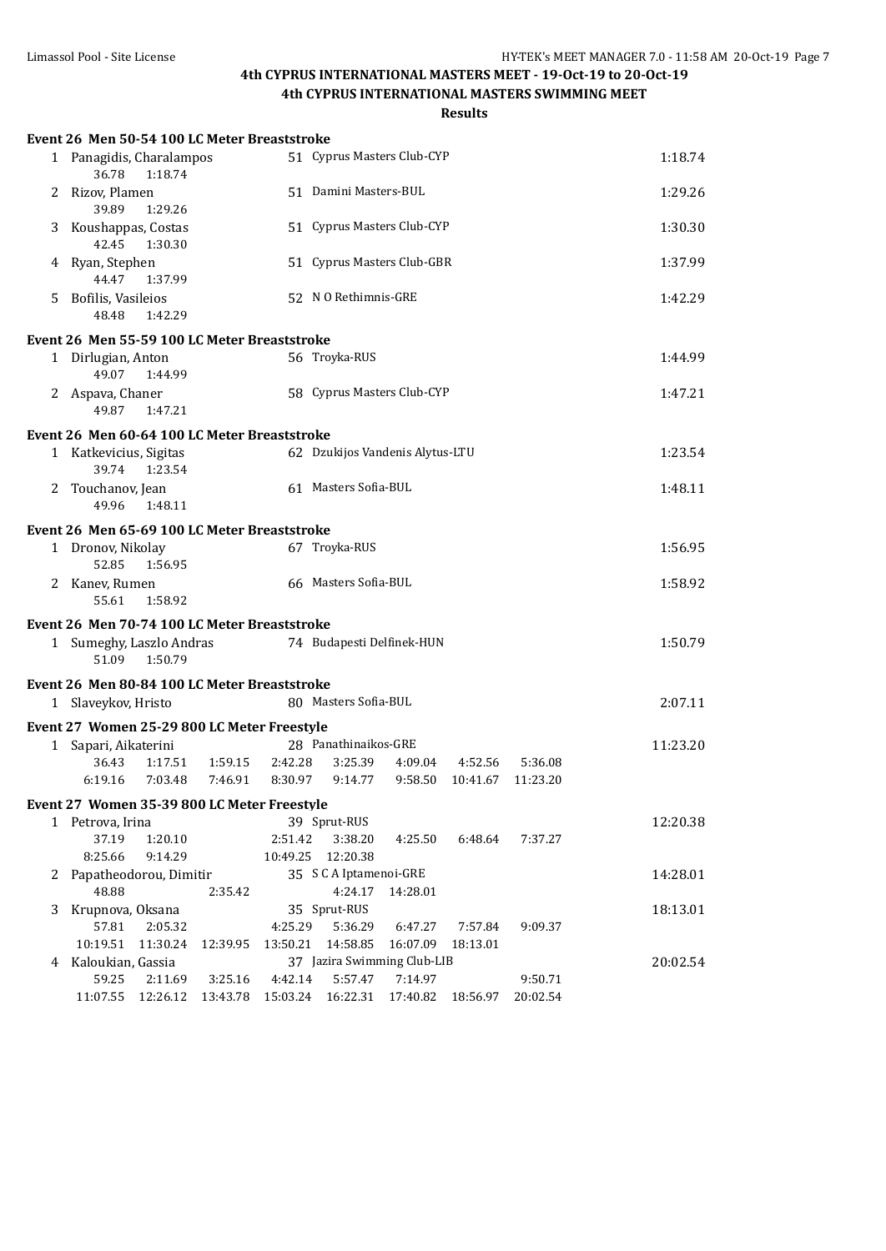## **4th CYPRUS INTERNATIONAL MASTERS MEET - 19-Oct-19 to 20-Oct-19**

**4th CYPRUS INTERNATIONAL MASTERS SWIMMING MEET**

|    | Event 26 Men 50-54 100 LC Meter Breaststroke                               |          |                     |                                        |                       |                   |          |          |  |  |
|----|----------------------------------------------------------------------------|----------|---------------------|----------------------------------------|-----------------------|-------------------|----------|----------|--|--|
|    | 51 Cyprus Masters Club-CYP<br>1 Panagidis, Charalampos<br>36.78<br>1:18.74 |          |                     |                                        |                       |                   |          | 1:18.74  |  |  |
| 2  | Rizov, Plamen<br>39.89<br>1:29.26                                          |          |                     |                                        | 51 Damini Masters-BUL |                   |          |          |  |  |
| 3  | Koushappas, Costas<br>42.45<br>1:30.30                                     |          |                     | 51 Cyprus Masters Club-CYP             |                       |                   |          | 1:30.30  |  |  |
|    | 4 Ryan, Stephen<br>44.47<br>1:37.99                                        |          |                     | 51 Cyprus Masters Club-GBR             |                       |                   |          | 1:37.99  |  |  |
| 5. | Bofilis, Vasileios<br>48.48<br>1:42.29                                     |          |                     | 52 N O Rethimnis-GRE                   |                       |                   |          | 1:42.29  |  |  |
|    | Event 26 Men 55-59 100 LC Meter Breaststroke                               |          |                     |                                        |                       |                   |          |          |  |  |
|    | 1 Dirlugian, Anton<br>49.07<br>1:44.99                                     |          |                     | 56 Troyka-RUS                          |                       |                   |          | 1:44.99  |  |  |
|    | 2 Aspava, Chaner<br>49.87<br>1:47.21                                       |          |                     | 58 Cyprus Masters Club-CYP             |                       |                   |          | 1:47.21  |  |  |
|    | Event 26 Men 60-64 100 LC Meter Breaststroke                               |          |                     |                                        |                       |                   |          |          |  |  |
|    | 1 Katkevicius, Sigitas<br>39.74<br>1:23.54                                 |          |                     | 62 Dzukijos Vandenis Alytus-LTU        |                       |                   |          | 1:23.54  |  |  |
|    | 2 Touchanov, Jean<br>49.96<br>1:48.11                                      |          |                     | 61 Masters Sofia-BUL                   |                       |                   |          | 1:48.11  |  |  |
|    | Event 26 Men 65-69 100 LC Meter Breaststroke                               |          |                     |                                        |                       |                   |          |          |  |  |
|    | 1 Dronov, Nikolay<br>52.85<br>1:56.95                                      |          |                     | 67 Troyka-RUS                          |                       |                   |          | 1:56.95  |  |  |
|    | 2 Kanev, Rumen<br>55.61<br>1:58.92                                         |          |                     | 66 Masters Sofia-BUL                   | 1:58.92               |                   |          |          |  |  |
|    | Event 26 Men 70-74 100 LC Meter Breaststroke                               |          |                     |                                        |                       |                   |          |          |  |  |
|    | 1 Sumeghy, Laszlo Andras<br>51.09<br>1:50.79                               |          |                     | 74 Budapesti Delfinek-HUN              |                       |                   |          | 1:50.79  |  |  |
|    | Event 26 Men 80-84 100 LC Meter Breaststroke                               |          |                     |                                        |                       |                   |          |          |  |  |
|    | 1 Slaveykov, Hristo                                                        |          |                     | 80 Masters Sofia-BUL                   |                       |                   |          | 2:07.11  |  |  |
|    | Event 27 Women 25-29 800 LC Meter Freestyle                                |          |                     |                                        |                       |                   |          |          |  |  |
|    | 1 Sapari, Aikaterini                                                       |          |                     | 28 Panathinaikos-GRE                   |                       |                   |          | 11:23.20 |  |  |
|    | 36.43<br>1:17.51                                                           | 1:59.15  | 2:42.28             | 3:25.39                                | 4:09.04               | 4:52.56           | 5:36.08  |          |  |  |
|    | 6:19.16<br>7:03.48                                                         | 7:46.91  | 8:30.97             | 9:14.77                                | 9:58.50               | 10:41.67 11:23.20 |          |          |  |  |
|    | Event 27 Women 35-39 800 LC Meter Freestyle                                |          |                     |                                        |                       |                   |          |          |  |  |
|    | 1 Petrova, Irina                                                           |          |                     | 39 Sprut-RUS                           |                       |                   |          | 12:20.38 |  |  |
|    | 1:20.10<br>37.19                                                           |          | 2:51.42             | 3:38.20                                | 4:25.50               | 6:48.64           | 7:37.27  |          |  |  |
|    | 8:25.66<br>9:14.29                                                         |          | 10:49.25            | 12:20.38                               |                       |                   |          |          |  |  |
| 2  | Papatheodorou, Dimitir                                                     |          |                     | 35 S C A Iptamenoi-GRE                 |                       |                   |          | 14:28.01 |  |  |
|    | 48.88                                                                      | 2:35.42  |                     | 4:24.17                                | 14:28.01              |                   |          |          |  |  |
| 3  | Krupnova, Oksana                                                           |          |                     | 35 Sprut-RUS                           |                       | 7:57.84           |          | 18:13.01 |  |  |
|    | 57.81<br>2:05.32<br>10:19.51<br>11:30.24                                   | 12:39.95 | 4:25.29<br>13:50.21 | 5:36.29<br>14:58.85                    | 6:47.27<br>16:07.09   | 18:13.01          | 9:09.37  |          |  |  |
| 4  | Kaloukian, Gassia                                                          |          |                     | 37 Jazira Swimming Club-LIB            |                       |                   |          | 20:02.54 |  |  |
|    | 59.25<br>2:11.69                                                           | 3:25.16  | 4:42.14             | 5:57.47                                | 7:14.97               |                   | 9:50.71  |          |  |  |
|    | 11:07.55  12:26.12  13:43.78                                               |          |                     | 15:03.24  16:22.31  17:40.82  18:56.97 |                       |                   | 20:02.54 |          |  |  |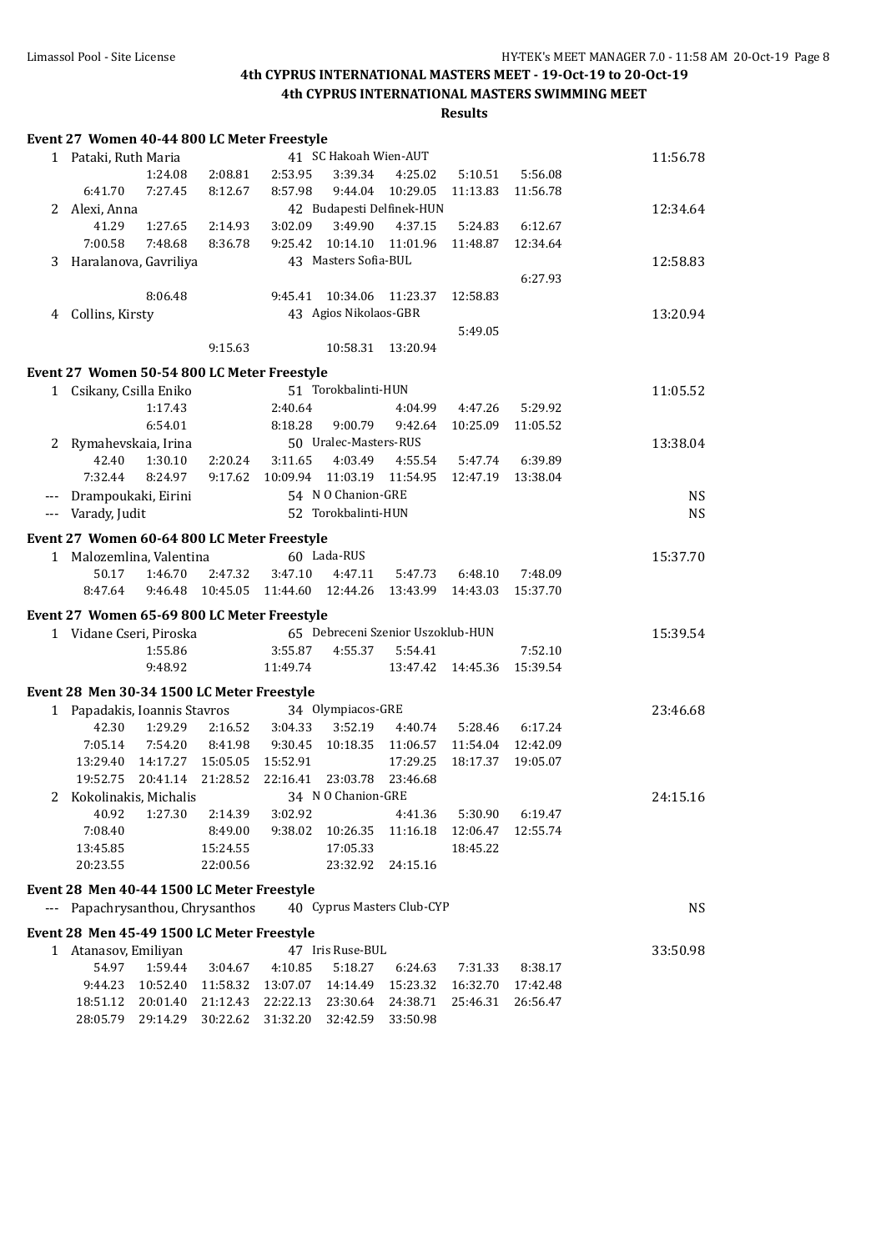|   | Event 27 Women 40-44 800 LC Meter Freestyle |                      |                      |                      |                       |                                   |                      |                     |             |
|---|---------------------------------------------|----------------------|----------------------|----------------------|-----------------------|-----------------------------------|----------------------|---------------------|-------------|
|   | 1 Pataki, Ruth Maria                        |                      |                      |                      | 41 SC Hakoah Wien-AUT |                                   |                      |                     | 11:56.78    |
|   |                                             | 1:24.08              | 2:08.81              | 2:53.95              | 3:39.34               | 4:25.02                           | 5:10.51              | 5:56.08             |             |
|   | 6:41.70                                     | 7:27.45              | 8:12.67              | 8:57.98              | 9:44.04               | 10:29.05                          | 11:13.83             | 11:56.78            |             |
| 2 | Alexi, Anna                                 |                      |                      |                      |                       | 42 Budapesti Delfinek-HUN         |                      |                     | 12:34.64    |
|   | 41.29                                       | 1:27.65              | 2:14.93              | 3:02.09              | 3:49.90               | 4:37.15                           | 5:24.83              | 6:12.67             |             |
|   | 7:00.58                                     | 7:48.68              | 8:36.78              | 9:25.42              | 10:14.10              | 11:01.96                          | 11:48.87             | 12:34.64            |             |
| 3 | Haralanova, Gavriliya                       |                      |                      |                      | 43 Masters Sofia-BUL  |                                   |                      |                     | 12:58.83    |
|   |                                             |                      |                      |                      |                       |                                   |                      | 6:27.93             |             |
|   |                                             | 8:06.48              |                      | 9:45.41              | 10:34.06              | 11:23.37                          | 12:58.83             |                     |             |
| 4 | Collins, Kirsty                             |                      |                      |                      | 43 Agios Nikolaos-GBR |                                   |                      |                     | 13:20.94    |
|   |                                             |                      |                      |                      |                       |                                   | 5:49.05              |                     |             |
|   |                                             |                      | 9:15.63              |                      | 10:58.31              | 13:20.94                          |                      |                     |             |
|   |                                             |                      |                      |                      |                       |                                   |                      |                     |             |
|   | Event 27 Women 50-54 800 LC Meter Freestyle |                      |                      |                      |                       |                                   |                      |                     |             |
|   | 1 Csikany, Csilla Eniko                     |                      |                      |                      | 51 Torokbalinti-HUN   |                                   |                      |                     | 11:05.52    |
|   |                                             | 1:17.43              |                      | 2:40.64              |                       | 4:04.99                           | 4:47.26              | 5:29.92             |             |
|   |                                             | 6:54.01              |                      | 8:18.28              | 9:00.79               | 9:42.64                           | 10:25.09             | 11:05.52            |             |
| 2 | Rymahevskaia, Irina                         |                      |                      |                      | 50 Uralec-Masters-RUS |                                   |                      |                     | 13:38.04    |
|   | 42.40                                       | 1:30.10              | 2:20.24              | 3:11.65              | 4:03.49               | 4:55.54                           | 5:47.74              | 6:39.89             |             |
|   | 7:32.44                                     | 8:24.97              | 9:17.62              | 10:09.94             | 11:03.19              | 11:54.95                          | 12:47.19             | 13:38.04            |             |
|   | Drampoukaki, Eirini                         |                      |                      |                      | 54 N O Chanion-GRE    |                                   |                      |                     | $_{\rm NS}$ |
|   | Varady, Judit                               |                      |                      |                      | 52 Torokbalinti-HUN   |                                   |                      |                     | <b>NS</b>   |
|   | Event 27 Women 60-64 800 LC Meter Freestyle |                      |                      |                      |                       |                                   |                      |                     |             |
|   | 1 Malozemlina, Valentina                    |                      |                      |                      | 60 Lada-RUS           |                                   |                      |                     | 15:37.70    |
|   | 50.17                                       | 1:46.70              | 2:47.32              | 3:47.10              | 4:47.11               | 5:47.73                           | 6:48.10              | 7:48.09             |             |
|   | 8:47.64                                     | 9:46.48              | 10:45.05 11:44.60    |                      | 12:44.26              | 13:43.99                          | 14:43.03             | 15:37.70            |             |
|   |                                             |                      |                      |                      |                       |                                   |                      |                     |             |
|   | Event 27 Women 65-69 800 LC Meter Freestyle |                      |                      |                      |                       | 65 Debreceni Szenior Uszoklub-HUN |                      |                     |             |
|   | 1 Vidane Cseri, Piroska                     | 1:55.86              |                      | 3:55.87              | 4:55.37               | 5:54.41                           |                      | 7:52.10             | 15:39.54    |
|   |                                             | 9:48.92              |                      | 11:49.74             |                       | 13:47.42                          |                      |                     |             |
|   |                                             |                      |                      |                      |                       |                                   | 14:45.36             | 15:39.54            |             |
|   | Event 28 Men 30-34 1500 LC Meter Freestyle  |                      |                      |                      |                       |                                   |                      |                     |             |
|   | 1 Papadakis, Ioannis Stavros                |                      |                      |                      | 34 Olympiacos-GRE     |                                   |                      |                     | 23:46.68    |
|   | 42.30                                       | 1:29.29              | 2:16.52              | 3:04.33              | 3:52.19               | 4:40.74                           | 5:28.46              | 6:17.24             |             |
|   | 7:05.14                                     | 7:54.20              | 8:41.98              | 9:30.45              | 10:18.35              | 11:06.57                          | 11:54.04             | 12:42.09            |             |
|   | 13:29.40                                    | 14:17.27             | 15:05.05             | 15:52.91             |                       | 17:29.25                          | 18:17.37             | 19:05.07            |             |
|   | 19:52.75                                    | 20:41.14 21:28.52    |                      |                      | 22:16.41 23:03.78     | 23:46.68                          |                      |                     |             |
|   | 2 Kokolinakis, Michalis                     |                      |                      |                      | 34 N O Chanion-GRE    |                                   |                      |                     | 24:15.16    |
|   | 40.92                                       | 1:27.30              | 2:14.39              | 3:02.92              |                       | 4:41.36                           | 5:30.90              | 6:19.47             |             |
|   | 7:08.40                                     |                      | 8:49.00              | 9:38.02              | 10:26.35              | 11:16.18                          | 12:06.47             | 12:55.74            |             |
|   | 13:45.85                                    |                      | 15:24.55             |                      | 17:05.33              |                                   | 18:45.22             |                     |             |
|   | 20:23.55                                    |                      | 22:00.56             |                      | 23:32.92              | 24:15.16                          |                      |                     |             |
|   | Event 28 Men 40-44 1500 LC Meter Freestyle  |                      |                      |                      |                       |                                   |                      |                     |             |
|   | Papachrysanthou, Chrysanthos                |                      |                      |                      |                       | 40 Cyprus Masters Club-CYP        |                      |                     | <b>NS</b>   |
|   |                                             |                      |                      |                      |                       |                                   |                      |                     |             |
|   | Event 28 Men 45-49 1500 LC Meter Freestyle  |                      |                      |                      | 47 Iris Ruse-BUL      |                                   |                      |                     |             |
| 1 | Atanasov, Emiliyan<br>54.97                 | 1:59.44              |                      |                      |                       |                                   |                      |                     | 33:50.98    |
|   |                                             |                      | 3:04.67              | 4:10.85              | 5:18.27               | 6:24.63                           | 7:31.33              | 8:38.17<br>17:42.48 |             |
|   | 9:44.23<br>18:51.12                         | 10:52.40<br>20:01.40 | 11:58.32<br>21:12.43 | 13:07.07<br>22:22.13 | 14:14.49<br>23:30.64  | 15:23.32<br>24:38.71              | 16:32.70<br>25:46.31 | 26:56.47            |             |
|   | 28:05.79                                    | 29:14.29             | 30:22.62             | 31:32.20             | 32:42.59              | 33:50.98                          |                      |                     |             |
|   |                                             |                      |                      |                      |                       |                                   |                      |                     |             |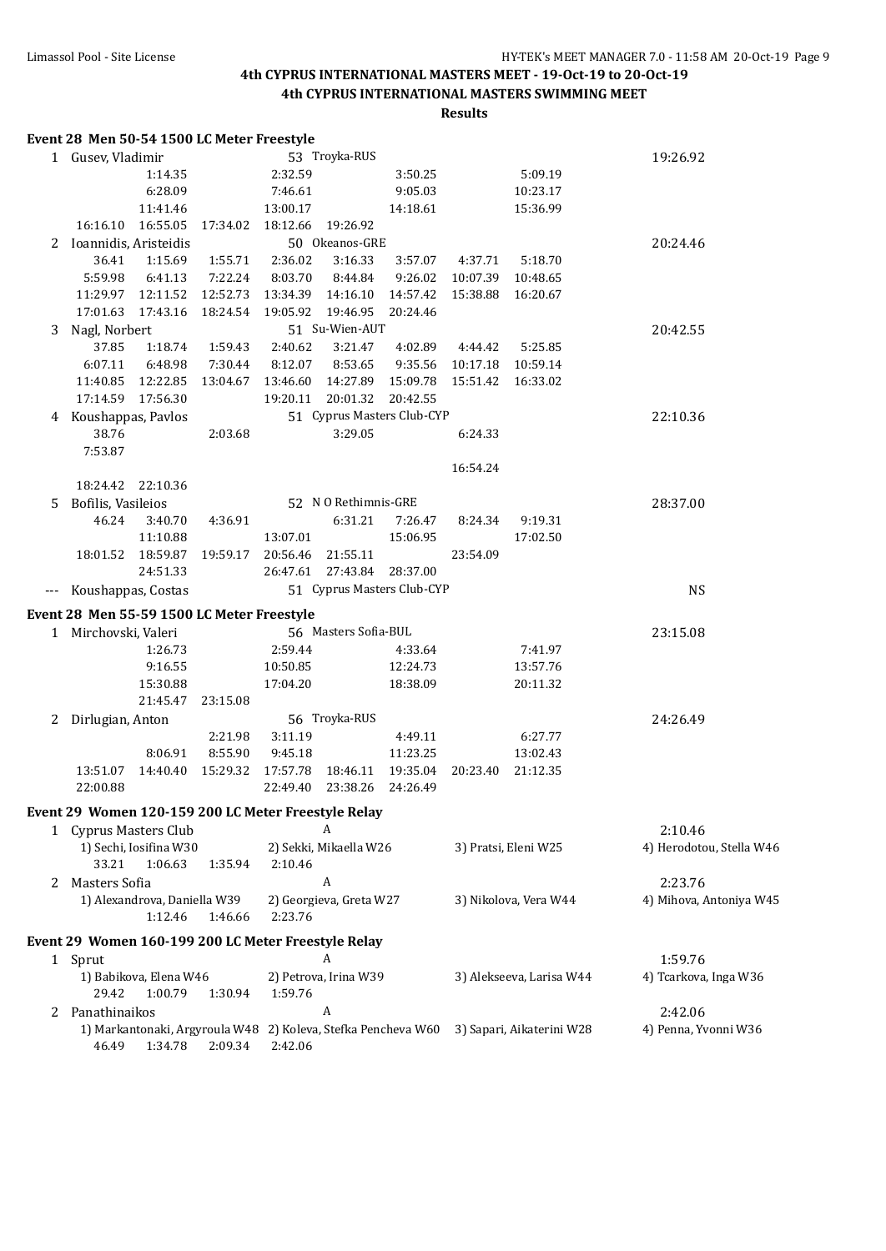|    | Event 28 Men 50-54 1500 LC Meter Freestyle                    |          |          |          |                         |                            |          |                           |                          |
|----|---------------------------------------------------------------|----------|----------|----------|-------------------------|----------------------------|----------|---------------------------|--------------------------|
|    | 1 Gusev, Vladimir                                             |          |          |          | 53 Troyka-RUS           |                            |          |                           | 19:26.92                 |
|    |                                                               | 1:14.35  |          | 2:32.59  |                         | 3:50.25                    |          | 5:09.19                   |                          |
|    |                                                               | 6:28.09  |          | 7:46.61  |                         | 9:05.03                    |          | 10:23.17                  |                          |
|    |                                                               | 11:41.46 |          | 13:00.17 |                         | 14:18.61                   |          | 15:36.99                  |                          |
|    | 16:16.10  16:55.05                                            |          | 17:34.02 | 18:12.66 | 19:26.92                |                            |          |                           |                          |
|    | 2 Ioannidis, Aristeidis                                       |          |          |          | 50 Okeanos-GRE          |                            |          |                           | 20:24.46                 |
|    | 36.41                                                         | 1:15.69  | 1:55.71  | 2:36.02  | 3:16.33                 | 3:57.07                    | 4:37.71  | 5:18.70                   |                          |
|    | 5:59.98                                                       | 6:41.13  | 7:22.24  | 8:03.70  | 8:44.84                 | 9:26.02                    | 10:07.39 | 10:48.65                  |                          |
|    |                                                               |          | 12:52.73 | 13:34.39 | 14:16.10                | 14:57.42                   | 15:38.88 | 16:20.67                  |                          |
|    | 17:01.63 17:43.16                                             |          | 18:24.54 | 19:05.92 | 19:46.95                | 20:24.46                   |          |                           |                          |
| 3  | Nagl, Norbert                                                 |          |          |          | 51 Su-Wien-AUT          |                            |          |                           | 20:42.55                 |
|    | 37.85                                                         | 1:18.74  | 1:59.43  | 2:40.62  | 3:21.47                 | 4:02.89                    | 4:44.42  | 5:25.85                   |                          |
|    | 6:07.11                                                       | 6:48.98  | 7:30.44  | 8:12.07  | 8:53.65                 | 9:35.56                    | 10:17.18 | 10:59.14                  |                          |
|    | 11:40.85  12:22.85                                            |          | 13:04.67 | 13:46.60 | 14:27.89                | 15:09.78                   | 15:51.42 | 16:33.02                  |                          |
|    | 17:14.59 17:56.30                                             |          |          | 19:20.11 | 20:01.32                | 20:42.55                   |          |                           |                          |
|    | 4 Koushappas, Pavlos                                          |          |          |          |                         | 51 Cyprus Masters Club-CYP |          |                           | 22:10.36                 |
|    | 38.76                                                         |          | 2:03.68  |          | 3:29.05                 |                            | 6:24.33  |                           |                          |
|    | 7:53.87                                                       |          |          |          |                         |                            |          |                           |                          |
|    |                                                               |          |          |          |                         |                            | 16:54.24 |                           |                          |
|    | 18:24.42 22:10.36                                             |          |          |          |                         |                            |          |                           |                          |
| 5. | Bofilis, Vasileios                                            |          |          |          | 52 N O Rethimnis-GRE    |                            |          |                           | 28:37.00                 |
|    | 46.24                                                         | 3:40.70  | 4:36.91  |          | 6:31.21                 | 7:26.47                    | 8:24.34  | 9:19.31                   |                          |
|    |                                                               | 11:10.88 |          | 13:07.01 |                         | 15:06.95                   |          | 17:02.50                  |                          |
|    | 18:01.52  18:59.87  19:59.17                                  |          |          | 20:56.46 | 21:55.11                |                            | 23:54.09 |                           |                          |
|    |                                                               | 24:51.33 |          | 26:47.61 | 27:43.84                | 28:37.00                   |          |                           |                          |
|    | Koushappas, Costas                                            |          |          |          |                         | 51 Cyprus Masters Club-CYP |          |                           | <b>NS</b>                |
|    | Event 28 Men 55-59 1500 LC Meter Freestyle                    |          |          |          |                         |                            |          |                           |                          |
|    | 1 Mirchovski, Valeri                                          |          |          |          | 56 Masters Sofia-BUL    |                            |          |                           | 23:15.08                 |
|    |                                                               | 1:26.73  |          | 2:59.44  |                         | 4:33.64                    |          | 7:41.97                   |                          |
|    |                                                               | 9:16.55  |          | 10:50.85 |                         | 12:24.73                   |          | 13:57.76                  |                          |
|    |                                                               | 15:30.88 |          | 17:04.20 |                         | 18:38.09                   |          | 20:11.32                  |                          |
|    |                                                               | 21:45.47 | 23:15.08 |          |                         |                            |          |                           |                          |
| 2  | Dirlugian, Anton                                              |          |          |          | 56 Troyka-RUS           |                            |          |                           | 24:26.49                 |
|    |                                                               |          | 2:21.98  | 3:11.19  |                         | 4:49.11                    |          | 6:27.77                   |                          |
|    |                                                               | 8:06.91  | 8:55.90  | 9:45.18  |                         | 11:23.25                   |          | 13:02.43                  |                          |
|    | 13:51.07                                                      | 14:40.40 | 15:29.32 | 17:57.78 | 18:46.11                | 19:35.04                   | 20:23.40 | 21:12.35                  |                          |
|    | 22:00.88                                                      |          |          | 22:49.40 | 23:38.26                | 24:26.49                   |          |                           |                          |
|    | Event 29 Women 120-159 200 LC Meter Freestyle Relay           |          |          |          |                         |                            |          |                           |                          |
|    | 1 Cyprus Masters Club                                         |          |          |          | A                       |                            |          |                           | 2:10.46                  |
|    | 1) Sechi, Iosifina W30                                        |          |          |          | 2) Sekki, Mikaella W26  |                            |          | 3) Pratsi, Eleni W25      | 4) Herodotou, Stella W46 |
|    | 33.21                                                         | 1:06.63  | 1:35.94  | 2:10.46  |                         |                            |          |                           |                          |
| 2  | Masters Sofia                                                 |          |          |          | A                       |                            |          |                           | 2:23.76                  |
|    | 1) Alexandrova, Daniella W39                                  |          |          |          | 2) Georgieva, Greta W27 |                            |          | 3) Nikolova, Vera W44     | 4) Mihova, Antoniya W45  |
|    |                                                               | 1:12.46  | 1:46.66  | 2:23.76  |                         |                            |          |                           |                          |
|    |                                                               |          |          |          |                         |                            |          |                           |                          |
|    | Event 29 Women 160-199 200 LC Meter Freestyle Relay           |          |          |          |                         |                            |          |                           |                          |
|    | 1 Sprut                                                       |          |          |          | A                       |                            |          |                           | 1:59.76                  |
|    | 1) Babikova, Elena W46                                        |          |          |          | 2) Petrova, Irina W39   |                            |          | 3) Alekseeva, Larisa W44  | 4) Tcarkova, Inga W36    |
|    | 29.42                                                         | 1:00.79  | 1:30.94  | 1:59.76  |                         |                            |          |                           |                          |
|    | 2 Panathinaikos                                               |          |          |          | $\boldsymbol{A}$        |                            |          |                           | 2:42.06                  |
|    | 1) Markantonaki, Argyroula W48 2) Koleva, Stefka Pencheva W60 |          |          |          |                         |                            |          | 3) Sapari, Aikaterini W28 | 4) Penna, Yvonni W36     |
|    | 46.49                                                         | 1:34.78  | 2:09.34  | 2:42.06  |                         |                            |          |                           |                          |